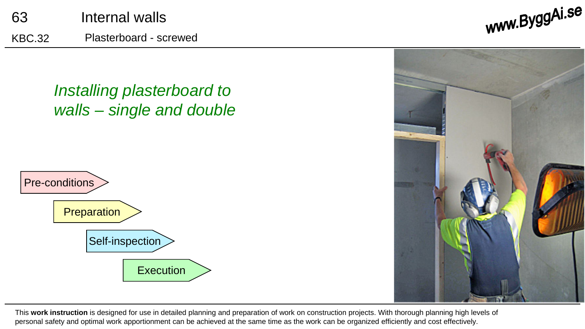







This **work instruction** is designed for use in detailed planning and preparation of work on construction projects. With thorough planning high levels of personal safety and optimal work apportionment can be achieved at the same time as the work can be organized efficiently and cost effectively.

www.ByggAi.se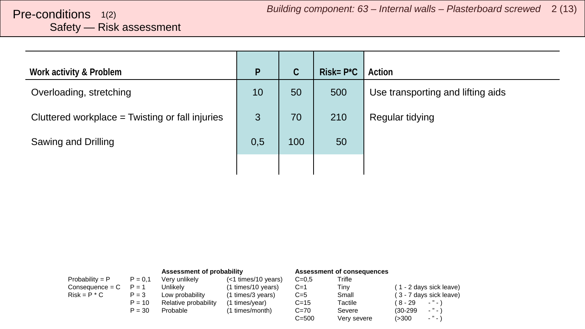# <span id="page-1-0"></span>Safety — Risk assessment

| Work activity & Problem                         | P   | $\mathsf{C}$ | $Risk = P^{\star}C$ | Action                            |
|-------------------------------------------------|-----|--------------|---------------------|-----------------------------------|
| Overloading, stretching                         | 10  | 50           | 500                 | Use transporting and lifting aids |
| Cluttered workplace = Twisting or fall injuries | 3   | 70           | 210                 | Regular tidying                   |
| Sawing and Drilling                             | 0,5 | 100          | 50                  |                                   |
|                                                 |     |              |                     |                                   |

|                   |           | Assessment of probability |                        |           | Assessment of consequences |                               |
|-------------------|-----------|---------------------------|------------------------|-----------|----------------------------|-------------------------------|
| Probability = $P$ | $P = 0.1$ | Very unlikely             | $(<$ 1 times/10 years) | $C = 0.5$ | Trifle                     |                               |
| $Consequence = C$ | $P = 1$   | Unlikelv                  | (1 times/10 years)     | $C=1$     | Tinv                       | (1 - 2 days sick leave)       |
| $Risk = P * C$    | $P = 3$   | Low probability           | (1 times/3 years)      | $C=5$     | Small                      | (3 - 7 days sick leave)       |
|                   | $P = 10$  | Relative probability      | (1 times/year)         | $C = 15$  | Tactile                    | ( 8 - 29<br>$ "$ $ \lambda$   |
|                   | $P = 30$  | Probable                  | (1 times/month)        | $C = 70$  | Severe                     | $ "$ $ \lambda$<br>$(30-299)$ |
|                   |           |                           |                        | $C = 500$ | Very severe                | $\cdot$ " $\cdot$ "<br>(>300  |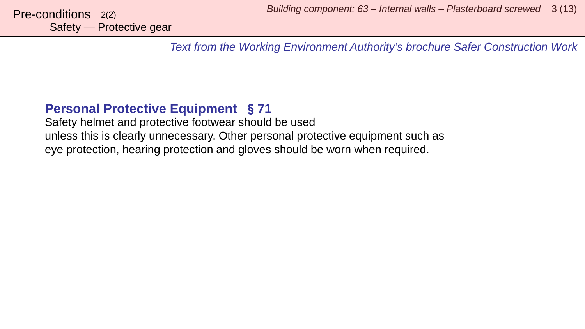*Text from the Working Environment Authority's brochure Safer Construction Work*

#### **Personal Protective Equipment** §**71**

Safety helmet and protective footwear should be used unless this is clearly unnecessary. Other personal protective equipment such as eye protection, hearing protection and gloves should be worn when required.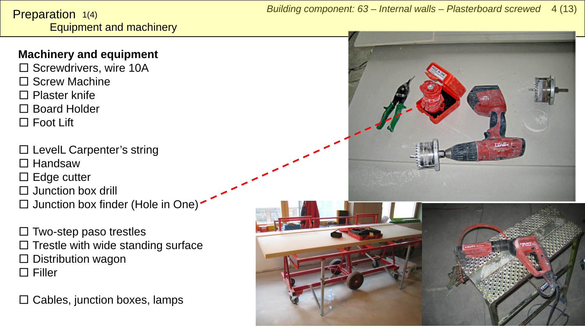#### <span id="page-3-0"></span>**Machinery and equipment**

- □ Screwdrivers, wire 10A □ Screw Machine □ Plaster knife
- □ Board Holder
- □ Foot Lift
- □ LevelL Carpenter's string □ Handsaw
- $\square$  Edge cutter
- $\Box$  Junction box drill
- $\square$  Junction box finder (Hole in One)
- $\square$  Two-step paso trestles  $\square$  Trestle with wide standing surface  $\square$  Distribution wagon □ Filler

 $\square$  Cables, junction boxes, lamps

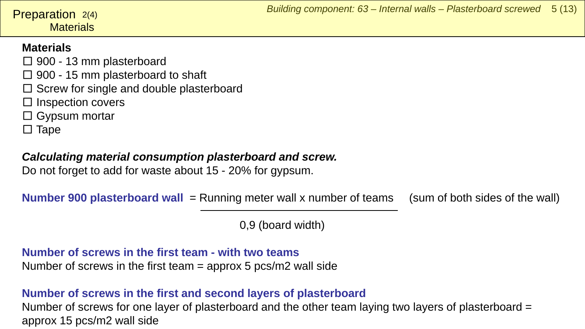#### **Materials Preparation**  $2(4)$

#### **Materials**

- $\square$  900 13 mm plasterboard
- $\square$  900 15 mm plasterboard to shaft
- $\square$  Screw for single and double plasterboard
- □ Inspection covers
- $\square$  Gypsum mortar
- $\square$  Tape

#### *Calculating material consumption plasterboard and screw.*

Do not forget to add for waste about 15 - 20% for gypsum.

**Number 900 plasterboard wall** = Running meter wall x number of teams (sum of both sides of the wall)

0,9 (board width)

#### **Number of screws in the first team - with two teams** Number of screws in the first team = approx 5 pcs/m2 wall side

#### **Number of screws in the first and second layers of plasterboard**

Number of screws for one layer of plasterboard and the other team laying two layers of plasterboard = approx 15 pcs/m2 wall side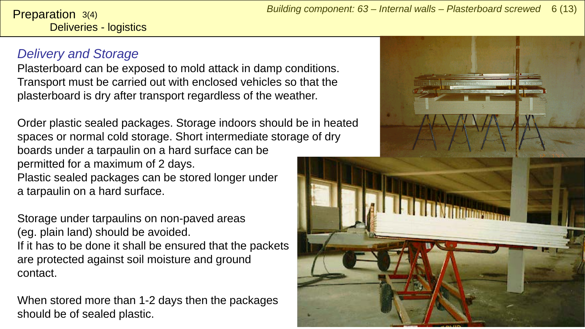Deliveries - logistics **Preparation**  $3(4)$ 

#### *Delivery and Storage*

Plasterboard can be exposed to mold attack in damp conditions. Transport must be carried out with enclosed vehicles so that the plasterboard is dry after transport regardless of the weather.

Order plastic sealed packages. Storage indoors should be in heated spaces or normal cold storage. Short intermediate storage of dry boards under a tarpaulin on a hard surface can be permitted for a maximum of 2 days. Plastic sealed packages can be stored longer under a tarpaulin on a hard surface.

Storage under tarpaulins on non-paved areas (eg. plain land) should be avoided. If it has to be done it shall be ensured that the packets are protected against soil moisture and ground contact.

When stored more than 1-2 days then the packages should be of sealed plastic.

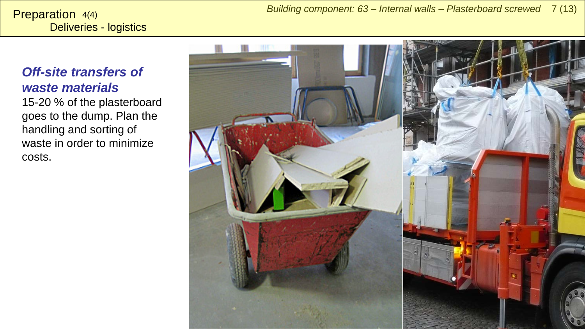Deliveries - logistics Preparation 4(4)

#### *Off-site transfers of waste materials*

15-20 % of the plasterboard goes to the dump. Plan the handling and sorting of waste in order to minimize costs.

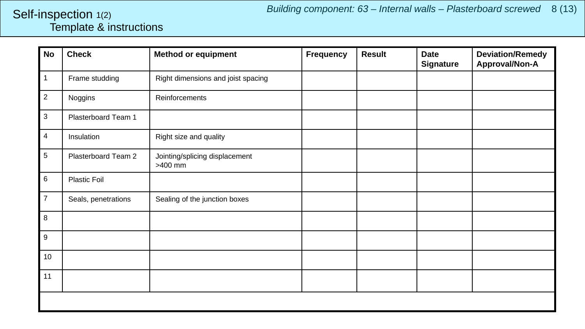#### <span id="page-7-0"></span>Template & instructions Self-inspection 1(2)

| <b>No</b>      | <b>Check</b>        | <b>Method or equipment</b>                | <b>Frequency</b> | <b>Result</b> | <b>Date</b><br><b>Signature</b> | <b>Deviation/Remedy</b><br>Approval/Non-A |
|----------------|---------------------|-------------------------------------------|------------------|---------------|---------------------------------|-------------------------------------------|
| $\mathbf{1}$   | Frame studding      | Right dimensions and joist spacing        |                  |               |                                 |                                           |
| $\overline{2}$ | Noggins             | Reinforcements                            |                  |               |                                 |                                           |
| $\mathbf{3}$   | Plasterboard Team 1 |                                           |                  |               |                                 |                                           |
| $\overline{4}$ | Insulation          | Right size and quality                    |                  |               |                                 |                                           |
| 5              | Plasterboard Team 2 | Jointing/splicing displacement<br>>400 mm |                  |               |                                 |                                           |
| $6\phantom{1}$ | Plastic Foil        |                                           |                  |               |                                 |                                           |
| $\overline{7}$ | Seals, penetrations | Sealing of the junction boxes             |                  |               |                                 |                                           |
| 8              |                     |                                           |                  |               |                                 |                                           |
| 9              |                     |                                           |                  |               |                                 |                                           |
| 10             |                     |                                           |                  |               |                                 |                                           |
| 11             |                     |                                           |                  |               |                                 |                                           |
|                |                     |                                           |                  |               |                                 |                                           |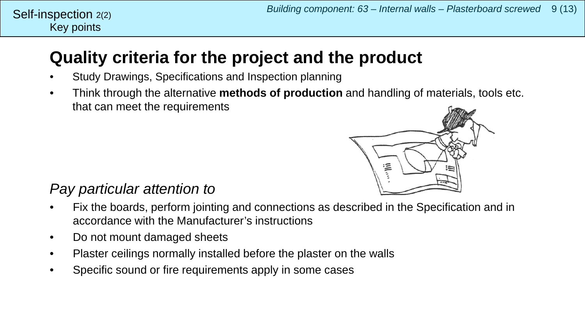#### Key points Self-inspection  $2(2)$

### **Quality criteria for the project and the product**

- Study Drawings, Specifications and Inspection planning
- Think through the alternative **methods of production** and handling of materials, tools etc. that can meet the requirements



### *Pay particular attention to*

- Fix the boards, perform jointing and connections as described in the Specification and in accordance with the Manufacturer's instructions
- Do not mount damaged sheets
- Plaster ceilings normally installed before the plaster on the walls
- Specific sound or fire requirements apply in some cases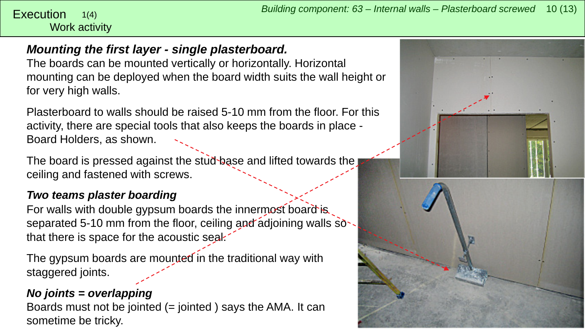#### <span id="page-9-0"></span>Work activity 1(4)

#### *Mounting the first layer - single plasterboard.*

The boards can be mounted vertically or horizontally. Horizontal mounting can be deployed when the board width suits the wall height or for very high walls.

Plasterboard to walls should be raised 5-10 mm from the floor. For this activity, there are special tools that also keeps the boards in place - Board Holders, as shown.

The board is pressed against the stud base and lifted towards the ceiling and fastened with screws.

#### *Two teams plaster boarding*

For walls with double gypsum boards the innermost board is separated 5-10 mm from the floor, ceiling and adjoining walls  $s\ddot{o}$ . that there is space for the acoustic seal.

The gypsum boards are mounted in the traditional way with staggered joints.

#### *No joints = overlapping*

Boards must not be jointed (= jointed ) says the AMA. It can sometime be tricky.

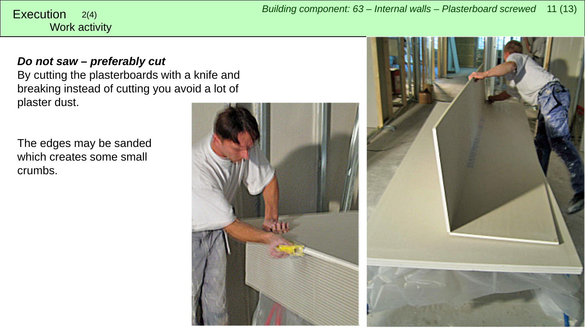*Building component: 63 – Internal walls – Plasterboard screwed* <sup>11</sup> (13) Execution 2(4)

## Work activity

*Do not saw – preferably cut* By cutting the plasterboards with a knife and breaking instead of cutting you avoid a lot of plaster dust.

The edges may be sanded which creates some small crumbs.



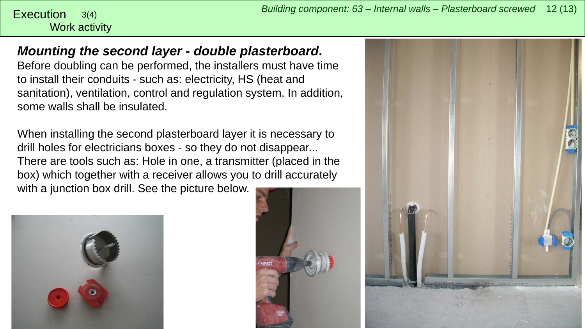# Work activity

*Mounting the second layer - double plasterboard***.**

Before doubling can be performed, the installers must have time to install their conduits - such as: electricity, HS (heat and sanitation), ventilation, control and regulation system. In addition, some walls shall be insulated.

When installing the second plasterboard layer it is necessary to drill holes for electricians boxes - so they do not disappear... There are tools such as: Hole in one, a transmitter (placed in the box) which together with a receiver allows you to drill accurately with a junction box drill. See the picture below.